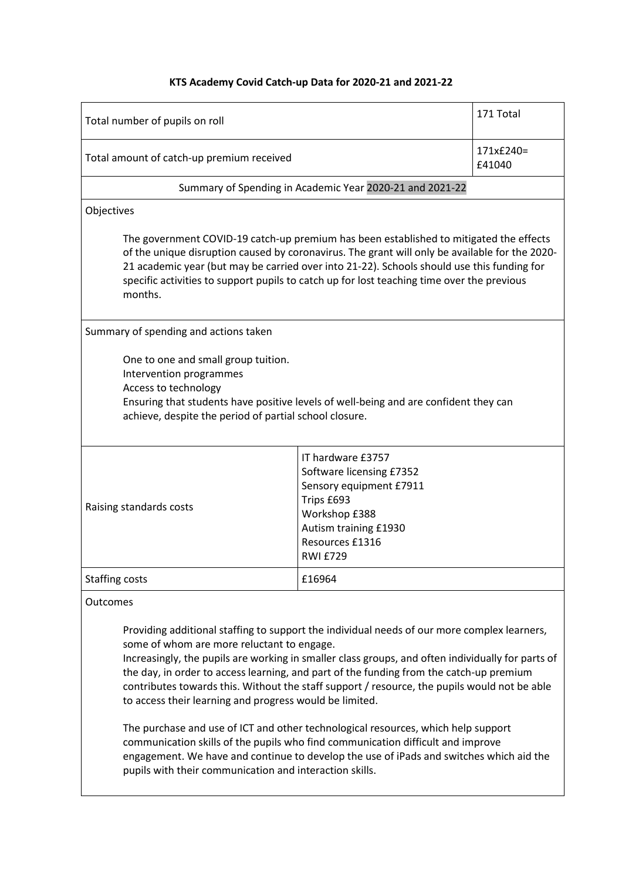## **KTS Academy Covid Catch-up Data for 2020-21 and 2021-22**

| Total number of pupils on roll                                                                                                                                                                                                                                                                                                                                                                                                                                                                                                                                                                                                                                                                                                                                                                                                     |                                                                                                                                                                        | 171 Total           |
|------------------------------------------------------------------------------------------------------------------------------------------------------------------------------------------------------------------------------------------------------------------------------------------------------------------------------------------------------------------------------------------------------------------------------------------------------------------------------------------------------------------------------------------------------------------------------------------------------------------------------------------------------------------------------------------------------------------------------------------------------------------------------------------------------------------------------------|------------------------------------------------------------------------------------------------------------------------------------------------------------------------|---------------------|
| Total amount of catch-up premium received                                                                                                                                                                                                                                                                                                                                                                                                                                                                                                                                                                                                                                                                                                                                                                                          |                                                                                                                                                                        | 171x£240=<br>£41040 |
| Summary of Spending in Academic Year 2020-21 and 2021-22                                                                                                                                                                                                                                                                                                                                                                                                                                                                                                                                                                                                                                                                                                                                                                           |                                                                                                                                                                        |                     |
| Objectives                                                                                                                                                                                                                                                                                                                                                                                                                                                                                                                                                                                                                                                                                                                                                                                                                         |                                                                                                                                                                        |                     |
| The government COVID-19 catch-up premium has been established to mitigated the effects<br>of the unique disruption caused by coronavirus. The grant will only be available for the 2020-<br>21 academic year (but may be carried over into 21-22). Schools should use this funding for<br>specific activities to support pupils to catch up for lost teaching time over the previous<br>months.                                                                                                                                                                                                                                                                                                                                                                                                                                    |                                                                                                                                                                        |                     |
| Summary of spending and actions taken                                                                                                                                                                                                                                                                                                                                                                                                                                                                                                                                                                                                                                                                                                                                                                                              |                                                                                                                                                                        |                     |
| One to one and small group tuition.<br>Intervention programmes<br>Access to technology<br>Ensuring that students have positive levels of well-being and are confident they can<br>achieve, despite the period of partial school closure.                                                                                                                                                                                                                                                                                                                                                                                                                                                                                                                                                                                           |                                                                                                                                                                        |                     |
| Raising standards costs                                                                                                                                                                                                                                                                                                                                                                                                                                                                                                                                                                                                                                                                                                                                                                                                            | IT hardware £3757<br>Software licensing £7352<br>Sensory equipment £7911<br>Trips £693<br>Workshop £388<br>Autism training £1930<br>Resources £1316<br><b>RWI £729</b> |                     |
| <b>Staffing costs</b><br>£16964                                                                                                                                                                                                                                                                                                                                                                                                                                                                                                                                                                                                                                                                                                                                                                                                    |                                                                                                                                                                        |                     |
| Outcomes                                                                                                                                                                                                                                                                                                                                                                                                                                                                                                                                                                                                                                                                                                                                                                                                                           |                                                                                                                                                                        |                     |
| Providing additional staffing to support the individual needs of our more complex learners,<br>some of whom are more reluctant to engage.<br>Increasingly, the pupils are working in smaller class groups, and often individually for parts of<br>the day, in order to access learning, and part of the funding from the catch-up premium<br>contributes towards this. Without the staff support / resource, the pupils would not be able<br>to access their learning and progress would be limited.<br>The purchase and use of ICT and other technological resources, which help support<br>communication skills of the pupils who find communication difficult and improve<br>engagement. We have and continue to develop the use of iPads and switches which aid the<br>pupils with their communication and interaction skills. |                                                                                                                                                                        |                     |